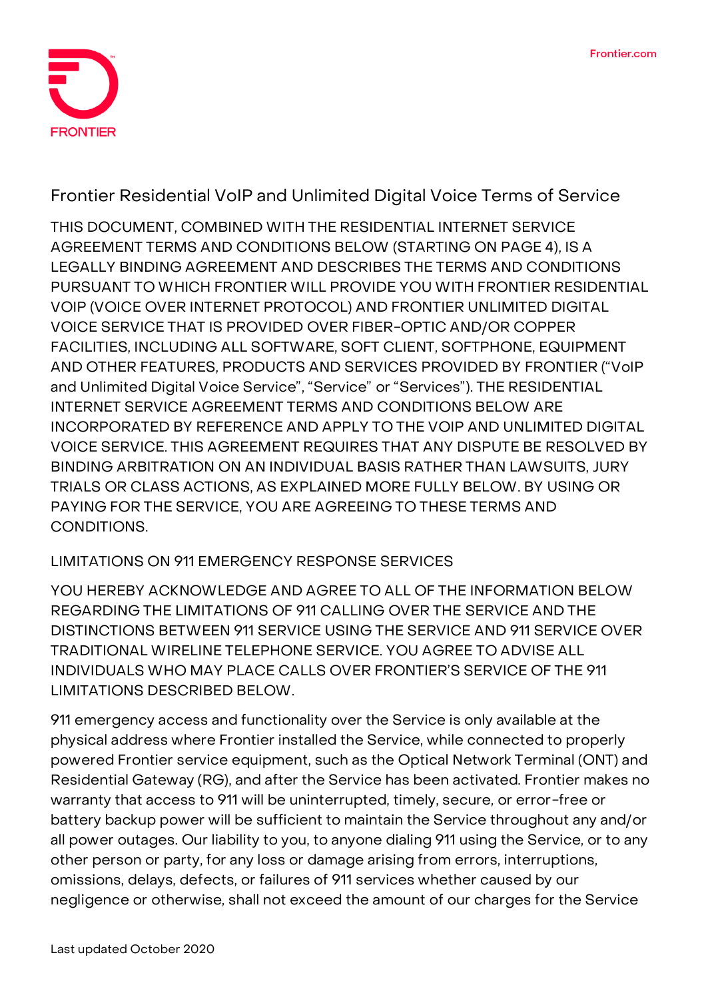

**Frontier Residential VoIP and Unlimited Digital Voice Terms of Service**

THIS DOCUMENT, COMBINED WITH THE RESIDENTIAL INTERNET SERVICE AGREEMENT TERMS AND CONDITIONS BELOW (STARTING ON PAGE 4), IS A LEGALLY BINDING AGREEMENT AND DESCRIBES THE TERMS AND CONDITIONS PURSUANT TO WHICH FRONTIER WILL PROVIDE YOU WITH FRONTIER RESIDENTIAL VOIP (VOICE OVER INTERNET PROTOCOL) AND FRONTIER UNLIMITED DIGITAL VOICE SERVICE THAT IS PROVIDED OVER FIBER-OPTIC AND/OR COPPER FACILITIES, INCLUDING ALL SOFTWARE, SOFT CLIENT, SOFTPHONE, EQUIPMENT AND OTHER FEATURES, PRODUCTS AND SERVICES PROVIDED BY FRONTIER ("VoIP and Unlimited Digital Voice Service", "Service" or "Services"). THE RESIDENTIAL INTERNET SERVICE AGREEMENT TERMS AND CONDITIONS BELOW ARE INCORPORATED BY REFERENCE AND APPLY TO THE VOIP AND UNLIMITED DIGITAL VOICE SERVICE. THIS AGREEMENT REQUIRES THAT ANY DISPUTE BE RESOLVED BY BINDING ARBITRATION ON AN INDIVIDUAL BASIS RATHER THAN LAWSUITS, JURY TRIALS OR CLASS ACTIONS, AS EXPLAINED MORE FULLY BELOW. BY USING OR PAYING FOR THE SERVICE, YOU ARE AGREEING TO THESE TERMS AND CONDITIONS.

# **LIMITATIONS ON 911 EMERGENCY RESPONSE SERVICES**

YOU HEREBY ACKNOWLEDGE AND AGREE TO ALL OF THE INFORMATION BELOW REGARDING THE LIMITATIONS OF 911 CALLING OVER THE SERVICE AND THE DISTINCTIONS BETWEEN 911 SERVICE USING THE SERVICE AND 911 SERVICE OVER TRADITIONAL WIRELINE TELEPHONE SERVICE. YOU AGREE TO ADVISE ALL INDIVIDUALS WHO MAY PLACE CALLS OVER FRONTIER'S SERVICE OF THE 911 LIMITATIONS DESCRIBED BELOW.

911 emergency access and functionality over the Service is only available at the physical address where Frontier installed the Service, while connected to properly powered Frontier service equipment, such as the Optical Network Terminal (ONT) and Residential Gateway (RG), and after the Service has been activated. Frontier makes no warranty that access to 911 will be uninterrupted, timely, secure, or error-free or battery backup power will be sufficient to maintain the Service throughout any and/or all power outages. Our liability to you, to anyone dialing 911 using the Service, or to any other person or party, for any loss or damage arising from errors, interruptions, omissions, delays, defects, or failures of 911 services whether caused by our negligence or otherwise, shall not exceed the amount of our charges for the Service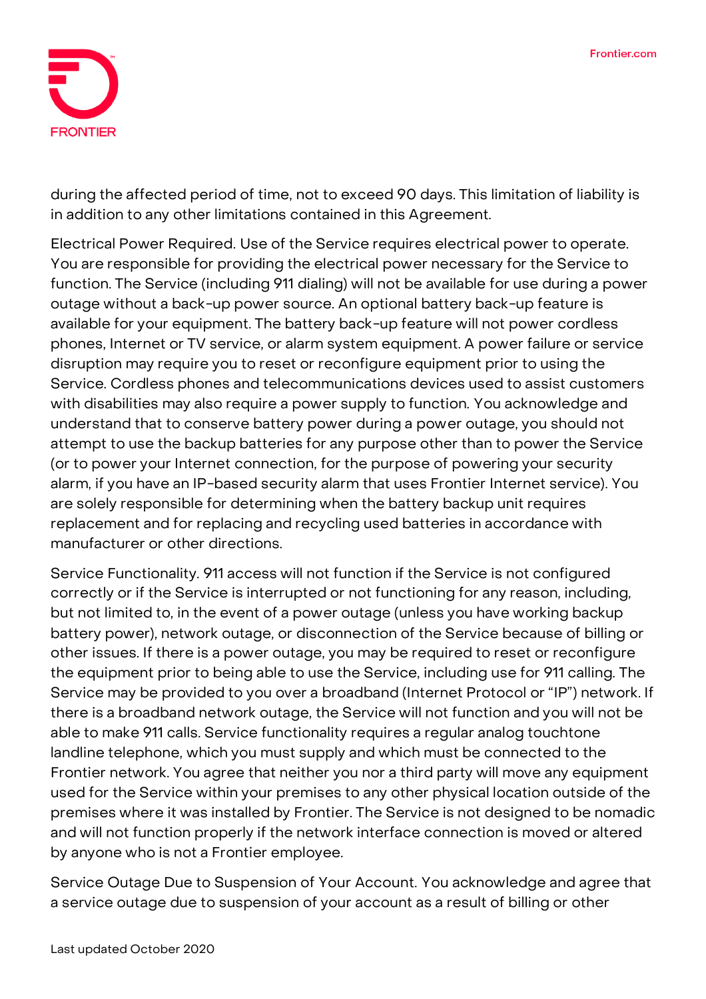

during the affected period of time, not to exceed 90 days. This limitation of liability is in addition to any other limitations contained in this Agreement.

**Electrical Power Required.** Use of the Service requires electrical power to operate. You are responsible for providing the electrical power necessary for the Service to function. The Service (including 911 dialing) will not be available for use during a power outage without a back-up power source. An optional battery back-up feature is available for your equipment. The battery back-up feature will not power cordless phones, Internet or TV service, or alarm system equipment. A power failure or service disruption may require you to reset or reconfigure equipment prior to using the Service. Cordless phones and telecommunications devices used to assist customers with disabilities may also require a power supply to function. You acknowledge and understand that to conserve battery power during a power outage, you should not attempt to use the backup batteries for any purpose other than to power the Service (or to power your Internet connection, for the purpose of powering your security alarm, if you have an IP-based security alarm that uses Frontier Internet service). You are solely responsible for determining when the battery backup unit requires replacement and for replacing and recycling used batteries in accordance with manufacturer or other directions.

**Service Functionality.** 911 access will not function if the Service is not configured correctly or if the Service is interrupted or not functioning for any reason, including, but not limited to, in the event of a power outage (unless you have working backup battery power), network outage, or disconnection of the Service because of billing or other issues. If there is a power outage, you may be required to reset or reconfigure the equipment prior to being able to use the Service, including use for 911 calling. The Service may be provided to you over a broadband (Internet Protocol or "IP") network. If there is a broadband network outage, the Service will not function and you will not be able to make 911 calls. Service functionality requires a regular analog touchtone landline telephone, which you must supply and which must be connected to the Frontier network. You agree that neither you nor a third party will move any equipment used for the Service within your premises to any other physical location outside of the premises where it was installed by Frontier. The Service is not designed to be nomadic and will not function properly if the network interface connection is moved or altered by anyone who is not a Frontier employee.

**Service Outage Due to Suspension of Your Account.** You acknowledge and agree that a service outage due to suspension of your account as a result of billing or other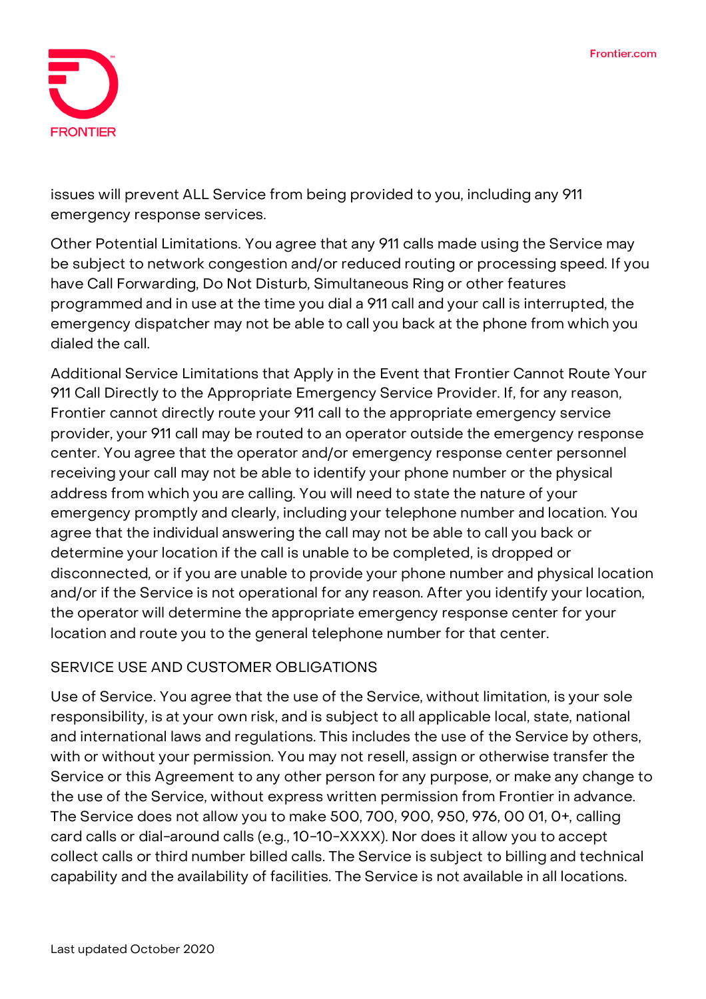

issues will prevent ALL Service from being provided to you, including any 911 emergency response services.

**Other Potential Limitations.** You agree that any 911 calls made using the Service may be subject to network congestion and/or reduced routing or processing speed. If you have Call Forwarding, Do Not Disturb, Simultaneous Ring or other features programmed and in use at the time you dial a 911 call and your call is interrupted, the emergency dispatcher may not be able to call you back at the phone from which you dialed the call.

**Additional Service Limitations that Apply in the Event that Frontier Cannot Route Your 911 Call Directly to the Appropriate Emergency Service Provider.** If, for any reason, Frontier cannot directly route your 911 call to the appropriate emergency service provider, your 911 call may be routed to an operator outside the emergency response center. You agree that the operator and/or emergency response center personnel receiving your call may not be able to identify your phone number or the physical address from which you are calling. You will need to state the nature of your emergency promptly and clearly, including your telephone number and location. You agree that the individual answering the call may not be able to call you back or determine your location if the call is unable to be completed, is dropped or disconnected, or if you are unable to provide your phone number and physical location and/or if the Service is not operational for any reason. After you identify your location, the operator will determine the appropriate emergency response center for your location and route you to the general telephone number for that center.

### **SERVICE USE AND CUSTOMER OBLIGATIONS**

**Use of Service.** You agree that the use of the Service, without limitation, is your sole responsibility, is at your own risk, and is subject to all applicable local, state, national and international laws and regulations. This includes the use of the Service by others, with or without your permission. You may not resell, assign or otherwise transfer the Service or this Agreement to any other person for any purpose, or make any change to the use of the Service, without express written permission from Frontier in advance. The Service does not allow you to make 500, 700, 900, 950, 976, 00 01, 0+, calling card calls or dial-around calls (e.g., 10-10-XXXX). Nor does it allow you to accept collect calls or third number billed calls. The Service is subject to billing and technical capability and the availability of facilities. The Service is not available in all locations.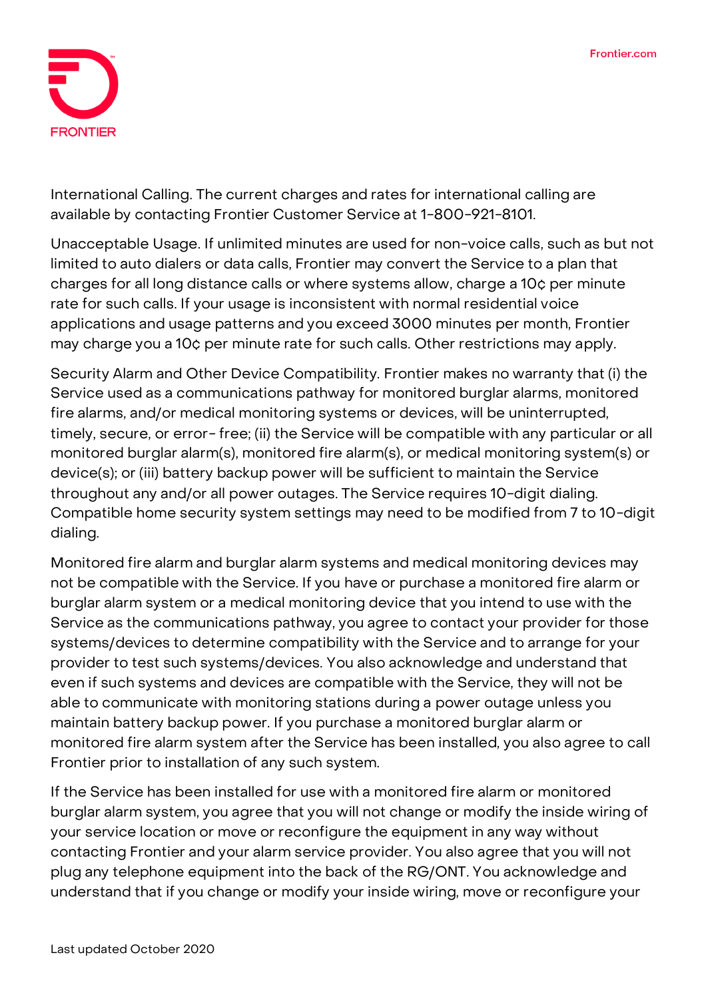

**International Calling.** The current charges and rates for international calling are available by contacting Frontier Customer Service at 1-800-921-8101.

**Unacceptable Usage.** If unlimited minutes are used for non-voice calls, such as but not limited to auto dialers or data calls, Frontier may convert the Service to a plan that charges for all long distance calls or where systems allow, charge a 10¢ per minute rate for such calls. If your usage is inconsistent with normal residential voice applications and usage patterns and you exceed 3000 minutes per month, Frontier may charge you a 10¢ per minute rate for such calls. Other restrictions may apply.

**Security Alarm and Other Device Compatibility.** Frontier makes no warranty that (i) the Service used as a communications pathway for monitored burglar alarms, monitored fire alarms, and/or medical monitoring systems or devices, will be uninterrupted, timely, secure, or error-free; (ii) the Service will be compatible with any particular or all monitored burglar alarm(s), monitored fire alarm(s), or medical monitoring system(s) or device(s); or (iii) battery backup power will be sufficient to maintain the Service throughout any and/or all power outages. The Service requires 10-digit dialing. Compatible home security system settings may need to be modified from 7 to 10-digit dialing.

Monitored fire alarm and burglar alarm systems and medical monitoring devices may not be compatible with the Service. If you have or purchase a monitored fire alarm or burglar alarm system or a medical monitoring device that you intend to use with the Service as the communications pathway, you agree to contact your provider for those systems/devices to determine compatibility with the Service and to arrange for your provider to test such systems/devices. You also acknowledge and understand that even if such systems and devices are compatible with the Service, they will not be able to communicate with monitoring stations during a power outage unless you maintain battery backup power. If you purchase a monitored burglar alarm or monitored fire alarm system after the Service has been installed, you also agree to call Frontier prior to installation of any such system.

If the Service has been installed for use with a monitored fire alarm or monitored burglar alarm system, you agree that you will not change or modify the inside wiring of your service location or move or reconfigure the equipment in any way without contacting Frontier and your alarm service provider. You also agree that you will not plug any telephone equipment into the back of the RG/ONT. You acknowledge and understand that if you change or modify your inside wiring, move or reconfigure your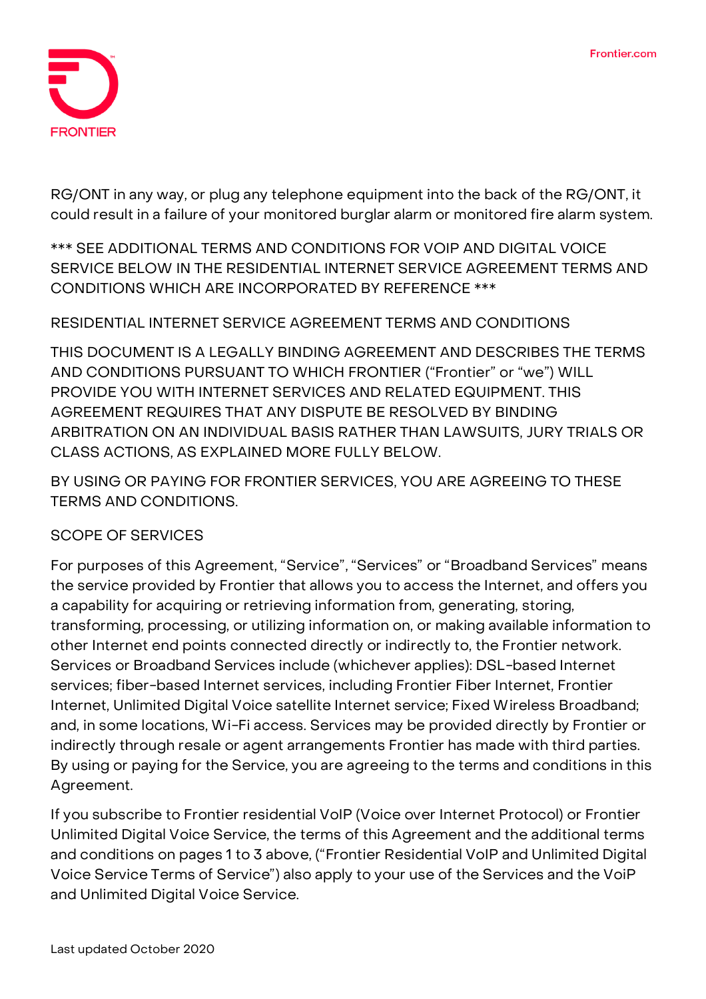

RG/ONT in any way, or plug any telephone equipment into the back of the RG/ONT, it could result in a failure of your monitored burglar alarm or monitored fire alarm system.

**\*\*\* SEE ADDITIONAL TERMS AND CONDITIONS FOR VOIP AND DIGITAL VOICE SERVICE BELOW IN THE RESIDENTIAL INTERNET SERVICE AGREEMENT TERMS AND CONDITIONS WHICH ARE INCORPORATED BY REFERENCE \*\*\***

### **RESIDENTIAL INTERNET SERVICE AGREEMENT TERMS AND CONDITIONS**

**THIS DOCUMENT IS A LEGALLY BINDING AGREEMENT AND DESCRIBES THE TERMS AND CONDITIONS PURSUANT TO WHICH FRONTIER ("Frontier" or "we") WILL PROVIDE YOU WITH INTERNET SERVICES AND RELATED EQUIPMENT. THIS AGREEMENT REQUIRES THAT ANY DISPUTE BE RESOLVED BY BINDING ARBITRATION ON AN INDIVIDUAL BASIS RATHER THAN LAWSUITS, JURY TRIALS OR CLASS ACTIONS, AS EXPLAINED MORE FULLY BELOW.**

**BY USING OR PAYING FOR FRONTIER SERVICES, YOU ARE AGREEING TO THESE TERMS AND CONDITIONS.**

### **SCOPE OF SERVICES**

For purposes of this Agreement, "Service", "Services" or "Broadband Services" means the service provided by Frontier that allows you to access the Internet, and offers you a capability for acquiring or retrieving information from, generating, storing, transforming, processing, or utilizing information on, or making available information to other Internet end points connected directly or indirectly to, the Frontier network. Services or Broadband Services include (whichever applies): DSL-based Internet services; fiber-based Internet services, including Frontier Fiber Internet, Frontier Internet, Unlimited Digital Voice satellite Internet service; Fixed Wireless Broadband; and, in some locations, Wi-Fi access. Services may be provided directly by Frontier or indirectly through resale or agent arrangements Frontier has made with third parties. By using or paying for the Service, you are agreeing to the terms and conditions in this Agreement.

If you subscribe to Frontier residential VoIP (Voice over Internet Protocol) or Frontier Unlimited Digital Voice Service, the terms of this Agreement and the additional terms and conditions on pages 1 to 3 above, ("Frontier Residential VoIP and Unlimited Digital Voice Service Terms of Service") also apply to your use of the Services and the VoiP and Unlimited Digital Voice Service.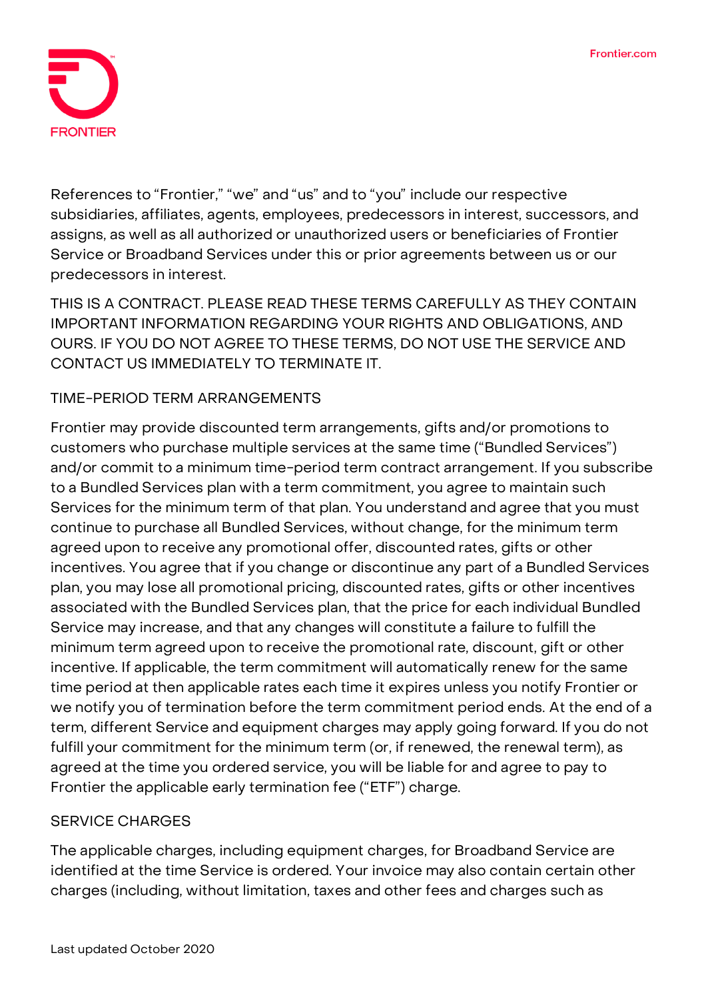

References to "Frontier," "we" and "us" and to "you" include our respective subsidiaries, affiliates, agents, employees, predecessors in interest, successors, and assigns, as well as all authorized or unauthorized users or beneficiaries of Frontier Service or Broadband Services under this or prior agreements between us or our predecessors in interest.

**THIS IS A CONTRACT. PLEASE READ THESE TERMS CAREFULLY AS THEY CONTAIN IMPORTANT INFORMATION REGARDING YOUR RIGHTS AND OBLIGATIONS, AND OURS. IF YOU DO NOT AGREE TO THESE TERMS, DO NOT USE THE SERVICE AND CONTACT US IMMEDIATELY TO TERMINATE IT.**

### **TIME-PERIOD TERM ARRANGEMENTS**

Frontier may provide discounted term arrangements, gifts and/or promotions to customers who purchase multiple services at the same time ("Bundled Services") and/or commit to a minimum time-period term contract arrangement. If you subscribe to a Bundled Services plan with a term commitment, you agree to maintain such Services for the minimum term of that plan. You understand and agree that you must continue to purchase all Bundled Services, without change, for the minimum term agreed upon to receive any promotional offer, discounted rates, gifts or other incentives. You agree that if you change or discontinue any part of a Bundled Services plan, you may lose all promotional pricing, discounted rates, gifts or other incentives associated with the Bundled Services plan, that the price for each individual Bundled Service may increase, and that any changes will constitute a failure to fulfill the minimum term agreed upon to receive the promotional rate, discount, gift or other incentive. If applicable, the term commitment will automatically renew for the same time period at then applicable rates each time it expires unless you notify Frontier or we notify you of termination before the term commitment period ends. At the end of a term, different Service and equipment charges may apply going forward. If you do not fulfill your commitment for the minimum term (or, if renewed, the renewal term), as agreed at the time you ordered service, you will be liable for and agree to pay to Frontier the applicable early termination fee ("ETF") charge.

### **SERVICE CHARGES**

The applicable charges, including equipment charges, for Broadband Service are identified at the time Service is ordered. Your invoice may also contain certain other charges (including, without limitation, taxes and other fees and charges such as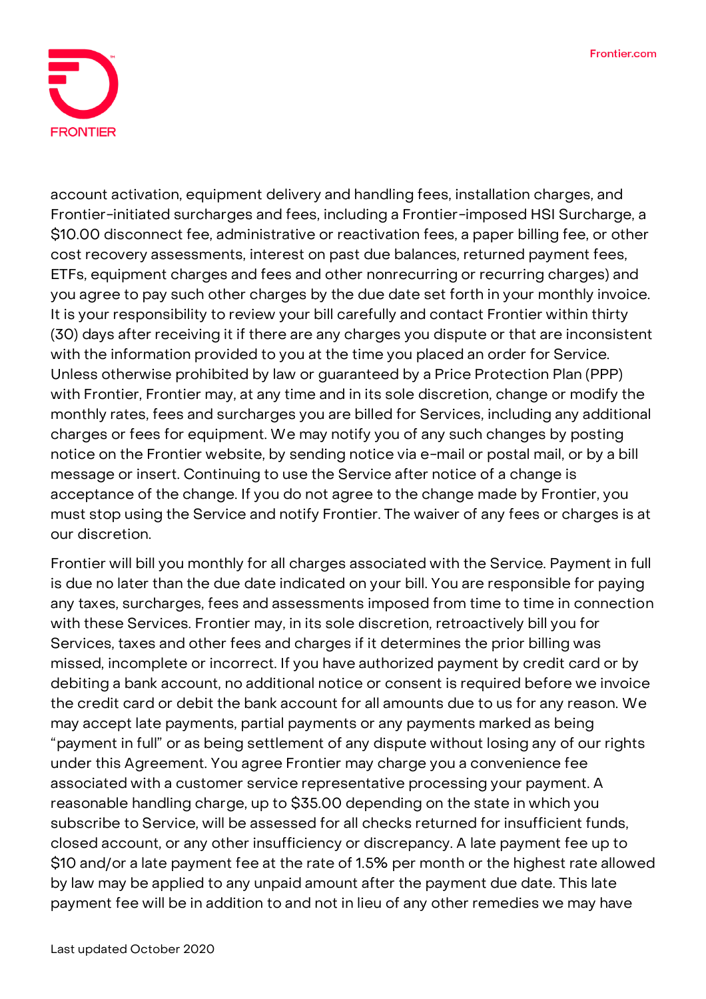

account activation, equipment delivery and handling fees, installation charges, and Frontier-initiated surcharges and fees, including a Frontier-imposed HSI Surcharge, a \$10.00 disconnect fee, administrative or reactivation fees, a paper billing fee, or other cost recovery assessments, interest on past due balances, returned payment fees, ETFs, equipment charges and fees and other nonrecurring or recurring charges) and you agree to pay such other charges by the due date set forth in your monthly invoice. It is your responsibility to review your bill carefully and contact Frontier within thirty (30) days after receiving it if there are any charges you dispute or that are inconsistent with the information provided to you at the time you placed an order for Service. Unless otherwise prohibited by law or guaranteed by a Price Protection Plan (PPP) with Frontier, Frontier may, at any time and in its sole discretion, change or modify the monthly rates, fees and surcharges you are billed for Services, including any additional charges or fees for equipment. We may notify you of any such changes by posting notice on the Frontier website, by sending notice via e-mail or postal mail, or by a bill message or insert. Continuing to use the Service after notice of a change is acceptance of the change. If you do not agree to the change made by Frontier, you must stop using the Service and notify Frontier. The waiver of any fees or charges is at our discretion.

Frontier will bill you monthly for all charges associated with the Service. Payment in full is due no later than the due date indicated on your bill. You are responsible for paying any taxes, surcharges, fees and assessments imposed from time to time in connection with these Services. Frontier may, in its sole discretion, retroactively bill you for Services, taxes and other fees and charges if it determines the prior billing was missed, incomplete or incorrect. If you have authorized payment by credit card or by debiting a bank account, no additional notice or consent is required before we invoice the credit card or debit the bank account for all amounts due to us for any reason. We may accept late payments, partial payments or any payments marked as being "payment in full" or as being settlement of any dispute without losing any of our rights under this Agreement. You agree Frontier may charge you a convenience fee associated with a customer service representative processing your payment. A reasonable handling charge, up to \$35.00 depending on the state in which you subscribe to Service, will be assessed for all checks returned for insufficient funds, closed account, or any other insufficiency or discrepancy. A late payment fee up to \$10 and/or a late payment fee at the rate of 1.5% per month or the highest rate allowed by law may be applied to any unpaid amount after the payment due date. This late payment fee will be in addition to and not in lieu of any other remedies we may have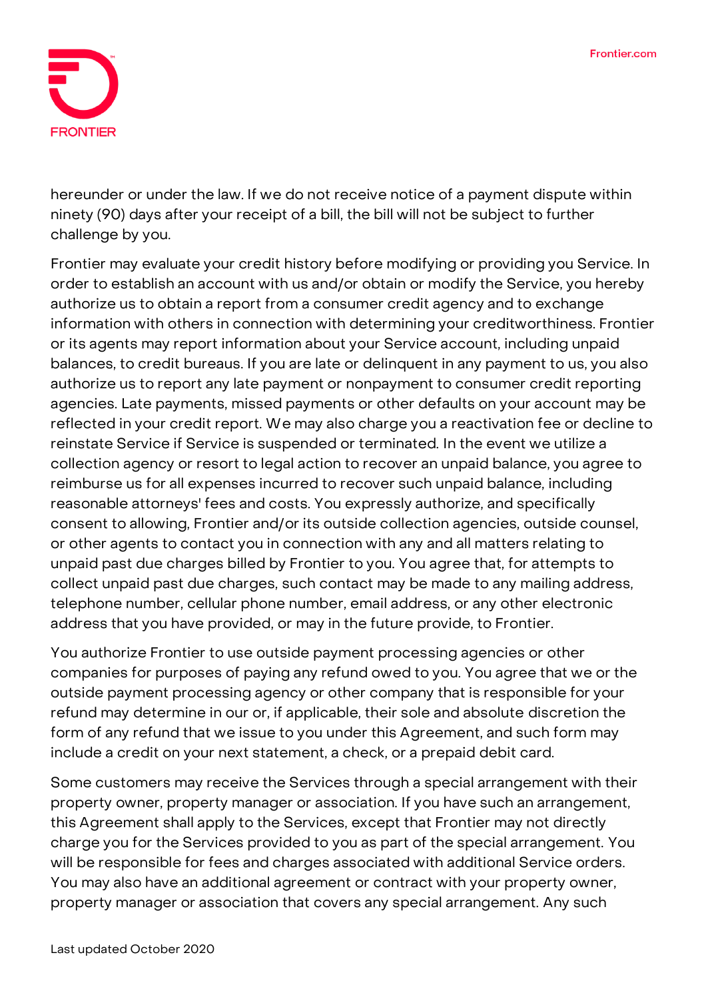

hereunder or under the law. If we do not receive notice of a payment dispute within ninety (90) days after your receipt of a bill, the bill will not be subject to further challenge by you.

Frontier may evaluate your credit history before modifying or providing you Service. In order to establish an account with us and/or obtain or modify the Service, you hereby authorize us to obtain a report from a consumer credit agency and to exchange information with others in connection with determining your creditworthiness. Frontier or its agents may report information about your Service account, including unpaid balances, to credit bureaus. If you are late or delinquent in any payment to us, you also authorize us to report any late payment or nonpayment to consumer credit reporting agencies. Late payments, missed payments or other defaults on your account may be reflected in your credit report. We may also charge you a reactivation fee or decline to reinstate Service if Service is suspended or terminated. In the event we utilize a collection agency or resort to legal action to recover an unpaid balance, you agree to reimburse us for all expenses incurred to recover such unpaid balance, including reasonable attorneys' fees and costs. You expressly authorize, and specifically consent to allowing, Frontier and/or its outside collection agencies, outside counsel, or other agents to contact you in connection with any and all matters relating to unpaid past due charges billed by Frontier to you. You agree that, for attempts to collect unpaid past due charges, such contact may be made to any mailing address, telephone number, cellular phone number, email address, or any other electronic address that you have provided, or may in the future provide, to Frontier.

You authorize Frontier to use outside payment processing agencies or other companies for purposes of paying any refund owed to you. You agree that we or the outside payment processing agency or other company that is responsible for your refund may determine in our or, if applicable, their sole and absolute discretion the form of any refund that we issue to you under this Agreement, and such form may include a credit on your next statement, a check, or a prepaid debit card.

Some customers may receive the Services through a special arrangement with their property owner, property manager or association. If you have such an arrangement, this Agreement shall apply to the Services, except that Frontier may not directly charge you for the Services provided to you as part of the special arrangement. You will be responsible for fees and charges associated with additional Service orders. You may also have an additional agreement or contract with your property owner, property manager or association that covers any special arrangement. Any such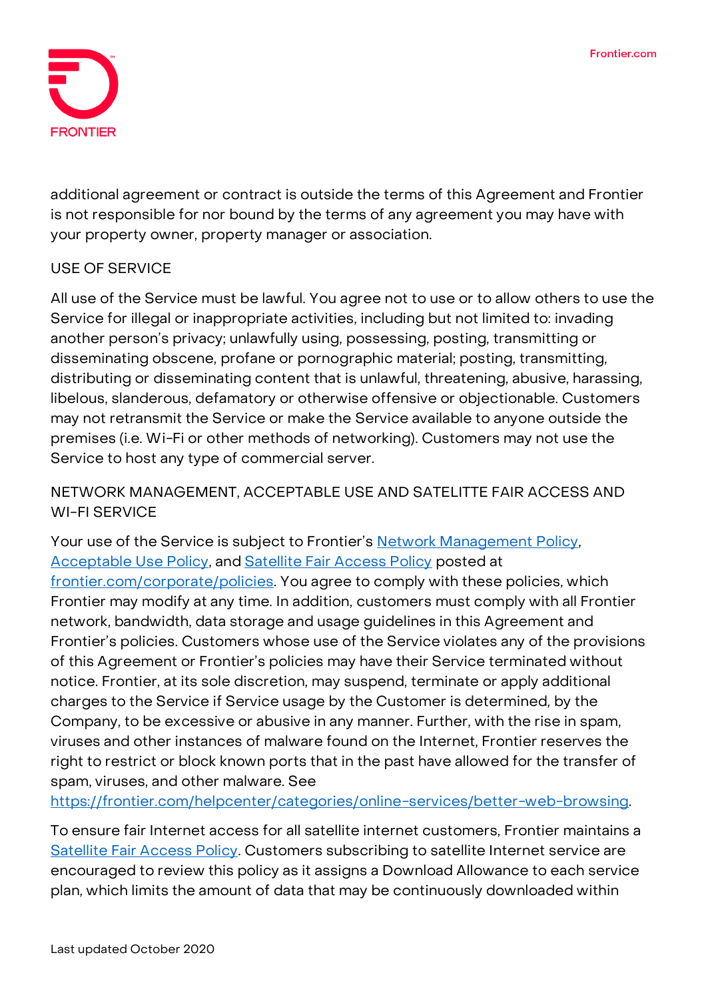

additional agreement or contract is outside the terms of this Agreement and Frontier is not responsible for nor bound by the terms of any agreement you may have with your property owner, property manager or association.

# **USE OF SERVICE**

All use of the Service must be lawful. You agree not to use or to allow others to use the Service for illegal or inappropriate activities, including but not limited to: invading another person's privacy; unlawfully using, possessing, posting, transmitting or disseminating obscene, profane or pornographic material; posting, transmitting, distributing or disseminating content that is unlawful, threatening, abusive, harassing, libelous, slanderous, defamatory or otherwise offensive or objectionable. Customers may not retransmit the Service or make the Service available to anyone outside the premises (i.e. Wi-Fi or other methods of networking). Customers may not use the Service to host any type of commercial server.

# **NETWORK MANAGEMENT, ACCEPTABLE USE AND SATELITTE FAIR ACCESS AND WI-FI SERVICE**

Your use of the Service is subject to Frontier's [Network Management Policy,](https://frontier.com/~/media/corporate/policies/network-management-policy.ashx?la=en) [Acceptable Use Policy,](https://frontier.com/~/media/corporate/policies/aup-residential.ashx?la=en) and [Satellite Fair Access Policy](https://frontier.com/~/media/corporate/policies/frontier-broadband-fair-access-policy-satellite.ashx?la=en) posted at [frontier.com/corporate/policies.](https://frontier.com/corporate/policies) You agree to comply with these policies, which Frontier may modify at any time. In addition, customers must comply with all Frontier network, bandwidth, data storage and usage guidelines in this Agreement and Frontier's policies. Customers whose use of the Service violates any of the provisions of this Agreement or Frontier's policies may have their Service terminated without notice. Frontier, at its sole discretion, may suspend, terminate or apply additional charges to the Service if Service usage by the Customer is determined, by the Company, to be excessive or abusive in any manner. Further, with the rise in spam, viruses and other instances of malware found on the Internet, Frontier reserves the right to restrict or block known ports that in the past have allowed for the transfer of spam, viruses, and other malware. See

[https://frontier.com/helpcenter/categories/online-services/better-web-browsing.](https://frontier.com/helpcenter/categories/online-services/better-web-browsing)

To ensure fair Internet access for all satellite internet customers, Frontier maintains a [Satellite Fair Access Policy.](https://frontier.com/~/media/corporate/policies/frontier-broadband-fair-access-policy-satellite.ashx?la=en) Customers subscribing to satellite Internet service are encouraged to review this policy as it assigns a Download Allowance to each service plan, which limits the amount of data that may be continuously downloaded within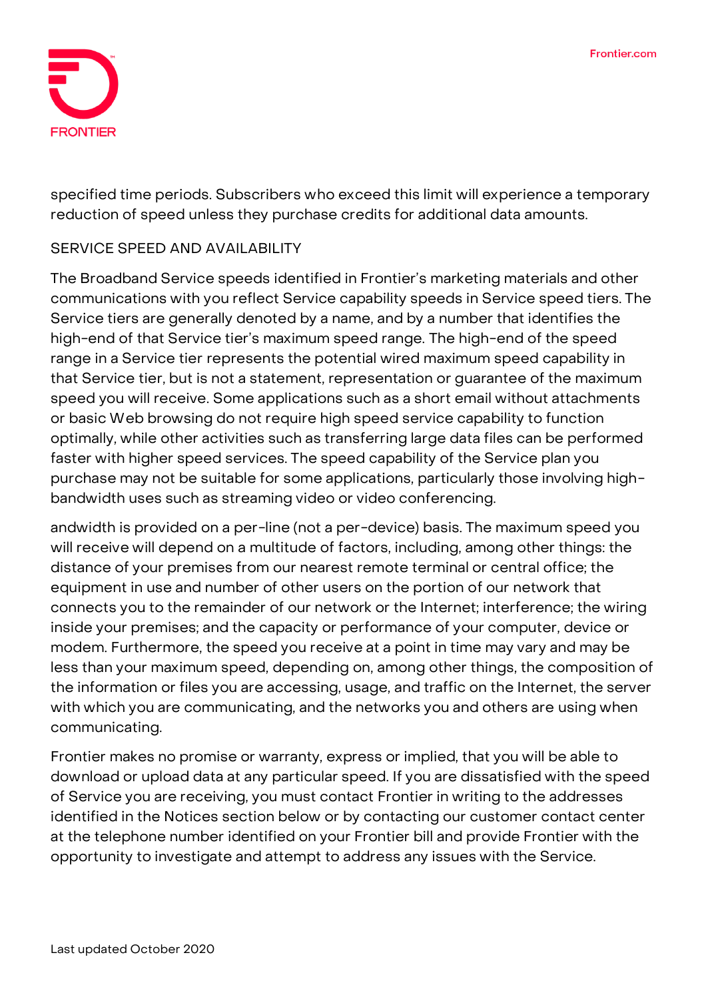

specified time periods. Subscribers who exceed this limit will experience a temporary reduction of speed unless they purchase credits for additional data amounts.

### **SERVICE SPEED AND AVAILABILITY**

The Broadband Service speeds identified in Frontier's marketing materials and other communications with you reflect Service capability speeds in Service speed tiers. The Service tiers are generally denoted by a name, and by a number that identifies the high-end of that Service tier's maximum speed range. **The high-end of the speed range in a Service tier represents the potential wired maximum speed capability in that Service tier, but is not a statement, representation or guarantee of the maximum speed you will receive.** Some applications such as a short email without attachments or basic Web browsing do not require high speed service capability to function optimally, while other activities such as transferring large data files can be performed faster with higher speed services. The speed capability of the Service plan you purchase may not be suitable for some applications, particularly those involving highbandwidth uses such as streaming video or video conferencing.

andwidth is provided on a per-line (not a per-device) basis. The maximum speed you will receive will depend on a multitude of factors, including, among other things: the distance of your premises from our nearest remote terminal or central office; the equipment in use and number of other users on the portion of our network that connects you to the remainder of our network or the Internet; interference; the wiring inside your premises; and the capacity or performance of your computer, device or modem. Furthermore, the speed you receive at a point in time may vary and may be less than your maximum speed, depending on, among other things, the composition of the information or files you are accessing, usage, and traffic on the Internet, the server with which you are communicating, and the networks you and others are using when communicating.

Frontier makes no promise or warranty, express or implied, that you will be able to download or upload data at any particular speed. If you are dissatisfied with the speed of Service you are receiving, you must contact Frontier in writing to the addresses identified in the Notices section below or by contacting our customer contact center at the telephone number identified on your Frontier bill and provide Frontier with the opportunity to investigate and attempt to address any issues with the Service.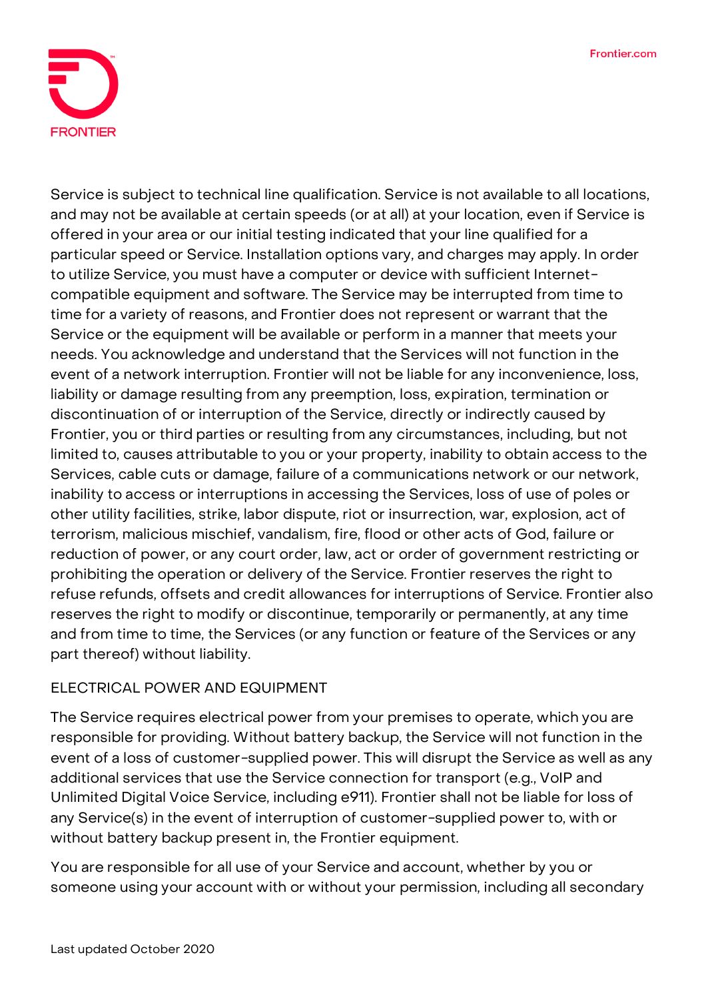

Service is subject to technical line qualification. Service is not available to all locations, and may not be available at certain speeds (or at all) at your location, even if Service is offered in your area or our initial testing indicated that your line qualified for a particular speed or Service. Installation options vary, and charges may apply. In order to utilize Service, you must have a computer or device with sufficient Internetcompatible equipment and software. The Service may be interrupted from time to time for a variety of reasons, and Frontier does not represent or warrant that the Service or the equipment will be available or perform in a manner that meets your needs. You acknowledge and understand that the Services will not function in the event of a network interruption. Frontier will not be liable for any inconvenience, loss, liability or damage resulting from any preemption, loss, expiration, termination or discontinuation of or interruption of the Service, directly or indirectly caused by Frontier, you or third parties or resulting from any circumstances, including, but not limited to, causes attributable to you or your property, inability to obtain access to the Services, cable cuts or damage, failure of a communications network or our network, inability to access or interruptions in accessing the Services, loss of use of poles or other utility facilities, strike, labor dispute, riot or insurrection, war, explosion, act of terrorism, malicious mischief, vandalism, fire, flood or other acts of God, failure or reduction of power, or any court order, law, act or order of government restricting or prohibiting the operation or delivery of the Service. Frontier reserves the right to refuse refunds, offsets and credit allowances for interruptions of Service. Frontier also reserves the right to modify or discontinue, temporarily or permanently, at any time and from time to time, the Services (or any function or feature of the Services or any part thereof) without liability.

### **ELECTRICAL POWER AND EQUIPMENT**

The Service requires electrical power from your premises to operate, which you are responsible for providing. Without battery backup, the Service will not function in the event of a loss of customer-supplied power. This will disrupt the Service as well as any additional services that use the Service connection for transport (e.g., VoIP and Unlimited Digital Voice Service, including e911). Frontier shall not be liable for loss of any Service(s) in the event of interruption of customer-supplied power to, with or without battery backup present in, the Frontier equipment.

You are responsible for all use of your Service and account, whether by you or someone using your account with or without your permission, including all secondary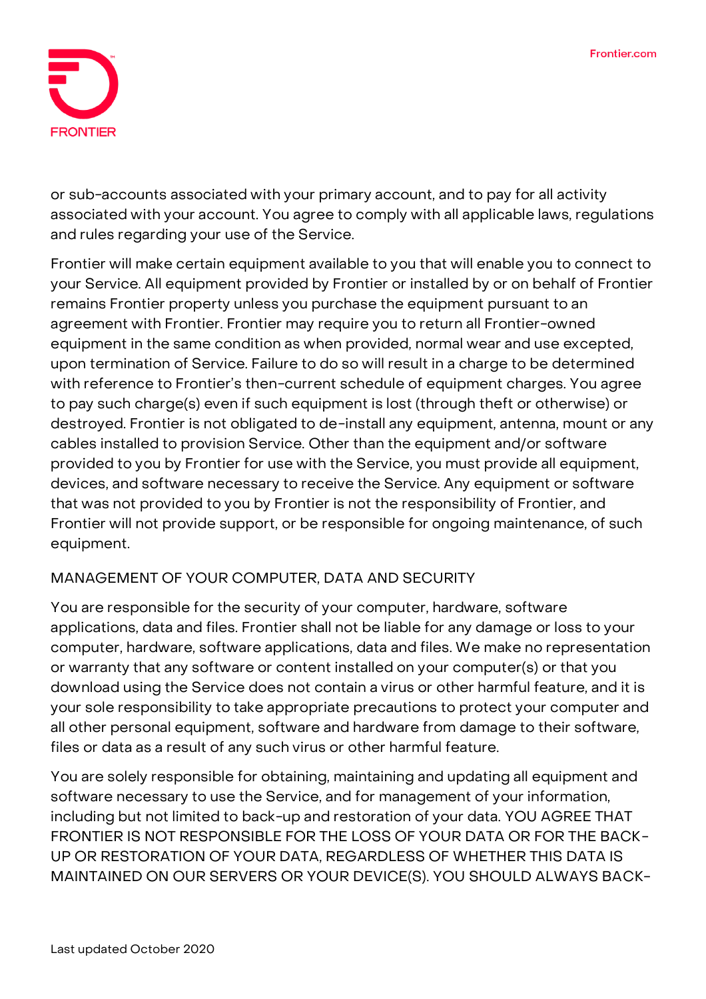

or sub-accounts associated with your primary account, and to pay for all activity associated with your account. You agree to comply with all applicable laws, regulations and rules regarding your use of the Service.

Frontier will make certain equipment available to you that will enable you to connect to your Service. All equipment provided by Frontier or installed by or on behalf of Frontier remains Frontier property unless you purchase the equipment pursuant to an agreement with Frontier. Frontier may require you to return all Frontier-owned equipment in the same condition as when provided, normal wear and use excepted, upon termination of Service. Failure to do so will result in a charge to be determined with reference to Frontier's then-current schedule of equipment charges. You agree to pay such charge(s) even if such equipment is lost (through theft or otherwise) or destroyed. Frontier is not obligated to de-install any equipment, antenna, mount or any cables installed to provision Service. Other than the equipment and/or software provided to you by Frontier for use with the Service, you must provide all equipment, devices, and software necessary to receive the Service. Any equipment or software that was not provided to you by Frontier is not the responsibility of Frontier, and Frontier will not provide support, or be responsible for ongoing maintenance, of such equipment.

### **MANAGEMENT OF YOUR COMPUTER, DATA AND SECURITY**

You are responsible for the security of your computer, hardware, software applications, data and files. Frontier shall not be liable for any damage or loss to your computer, hardware, software applications, data and files. We make no representation or warranty that any software or content installed on your computer(s) or that you download using the Service does not contain a virus or other harmful feature, and it is your sole responsibility to take appropriate precautions to protect your computer and all other personal equipment, software and hardware from damage to their software, files or data as a result of any such virus or other harmful feature.

You are solely responsible for obtaining, maintaining and updating all equipment and software necessary to use the Service, and for management of your information, including but not limited to back-up and restoration of your data. **YOU AGREE THAT FRONTIER IS NOT RESPONSIBLE FOR THE LOSS OF YOUR DATA OR FOR THE BACK-UP OR RESTORATION OF YOUR DATA, REGARDLESS OF WHETHER THIS DATA IS MAINTAINED ON OUR SERVERS OR YOUR DEVICE(S). YOU SHOULD ALWAYS BACK-**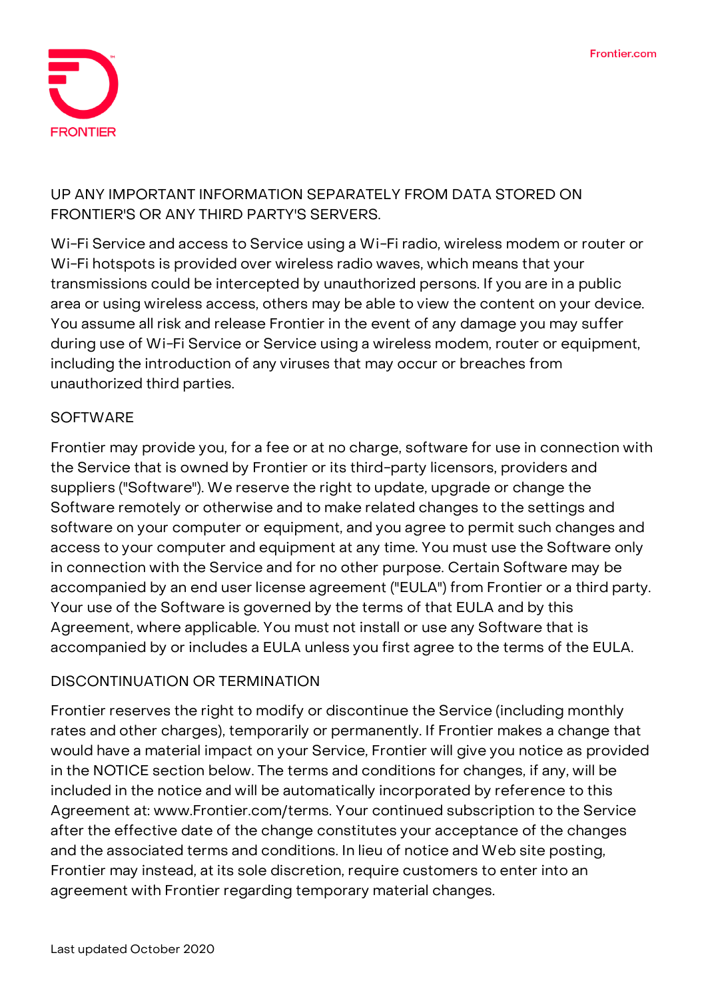

# **UP ANY IMPORTANT INFORMATION SEPARATELY FROM DATA STORED ON FRONTIER'S OR ANY THIRD PARTY'S SERVERS.**

Wi-Fi Service and access to Service using a Wi-Fi radio, wireless modem or router or Wi-Fi hotspots is provided over wireless radio waves, which means that your transmissions could be intercepted by unauthorized persons. If you are in a public area or using wireless access, others may be able to view the content on your device. You assume all risk and release Frontier in the event of any damage you may suffer during use of Wi-Fi Service or Service using a wireless modem, router or equipment, including the introduction of any viruses that may occur or breaches from unauthorized third parties.

### **SOFTWARE**

Frontier may provide you, for a fee or at no charge, software for use in connection with the Service that is owned by Frontier or its third-party licensors, providers and suppliers ("Software"). We reserve the right to update, upgrade or change the Software remotely or otherwise and to make related changes to the settings and software on your computer or equipment, and you agree to permit such changes and access to your computer and equipment at any time. You must use the Software only in connection with the Service and for no other purpose. Certain Software may be accompanied by an end user license agreement ("EULA") from Frontier or a third party. Your use of the Software is governed by the terms of that EULA and by this Agreement, where applicable. You must not install or use any Software that is accompanied by or includes a EULA unless you first agree to the terms of the EULA.

### **DISCONTINUATION OR TERMINATION**

Frontier reserves the right to modify or discontinue the Service (including monthly rates and other charges), temporarily or permanently. If Frontier makes a change that would have a material impact on your Service, Frontier will give you notice as provided in the NOTICE section below. The terms and conditions for changes, if any, will be included in the notice and will be automatically incorporated by reference to this Agreement at: www.Frontier.com/terms. Your continued subscription to the Service after the effective date of the change constitutes your acceptance of the changes and the associated terms and conditions. In lieu of notice and Web site posting, Frontier may instead, at its sole discretion, require customers to enter into an agreement with Frontier regarding temporary material changes.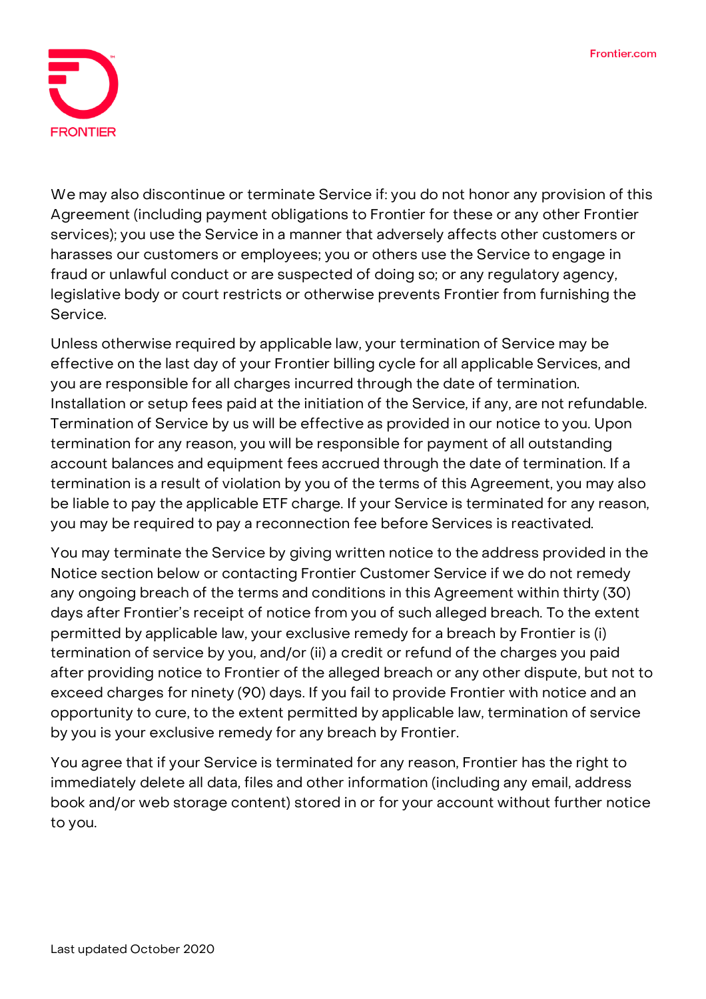

We may also discontinue or terminate Service if: you do not honor any provision of this Agreement (including payment obligations to Frontier for these or any other Frontier services); you use the Service in a manner that adversely affects other customers or harasses our customers or employees; you or others use the Service to engage in fraud or unlawful conduct or are suspected of doing so; or any regulatory agency, legislative body or court restricts or otherwise prevents Frontier from furnishing the Service.

Unless otherwise required by applicable law, your termination of Service may be effective on the last day of your Frontier billing cycle for all applicable Services, and you are responsible for all charges incurred through the date of termination. Installation or setup fees paid at the initiation of the Service, if any, are not refundable. Termination of Service by us will be effective as provided in our notice to you. Upon termination for any reason, you will be responsible for payment of all outstanding account balances and equipment fees accrued through the date of termination. If a termination is a result of violation by you of the terms of this Agreement, you may also be liable to pay the applicable ETF charge. If your Service is terminated for any reason, you may be required to pay a reconnection fee before Services is reactivated.

You may terminate the Service by giving written notice to the address provided in the Notice section below or contacting Frontier Customer Service if we do not remedy any ongoing breach of the terms and conditions in this Agreement within thirty (30) days after Frontier's receipt of notice from you of such alleged breach. **To the extent permitted by applicable law, your exclusive remedy for a breach by Frontier is (i) termination of service by you, and/or (ii) a credit or refund of the charges you paid after providing notice to Frontier of the alleged breach or any other dispute, but not to exceed charges for ninety (90) days. If you fail to provide Frontier with notice and an opportunity to cure, to the extent permitted by applicable law, termination of service by you is your exclusive remedy for any breach by Frontier.**

You agree that if your Service is terminated for any reason, Frontier has the right to immediately delete all data, files and other information (including any email, address book and/or web storage content) stored in or for your account without further notice to you.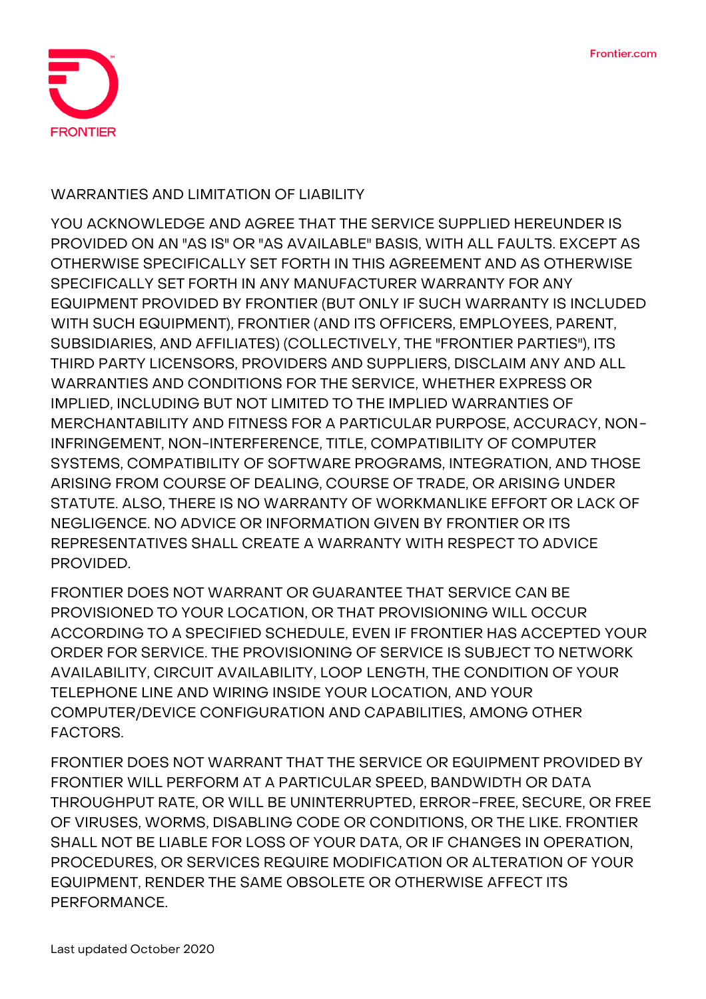

### **WARRANTIES AND LIMITATION OF LIABILITY**

**YOU ACKNOWLEDGE AND AGREE THAT THE SERVICE SUPPLIED HEREUNDER IS PROVIDED ON AN "AS IS" OR "AS AVAILABLE" BASIS, WITH ALL FAULTS. EXCEPT AS OTHERWISE SPECIFICALLY SET FORTH IN THIS AGREEMENT AND AS OTHERWISE SPECIFICALLY SET FORTH IN ANY MANUFACTURER WARRANTY FOR ANY EQUIPMENT PROVIDED BY FRONTIER (BUT ONLY IF SUCH WARRANTY IS INCLUDED WITH SUCH EQUIPMENT), FRONTIER (AND ITS OFFICERS, EMPLOYEES, PARENT, SUBSIDIARIES, AND AFFILIATES) (COLLECTIVELY, THE "FRONTIER PARTIES"), ITS THIRD PARTY LICENSORS, PROVIDERS AND SUPPLIERS, DISCLAIM ANY AND ALL WARRANTIES AND CONDITIONS FOR THE SERVICE, WHETHER EXPRESS OR IMPLIED, INCLUDING BUT NOT LIMITED TO THE IMPLIED WARRANTIES OF MERCHANTABILITY AND FITNESS FOR A PARTICULAR PURPOSE, ACCURACY, NON-INFRINGEMENT, NON-INTERFERENCE, TITLE, COMPATIBILITY OF COMPUTER SYSTEMS, COMPATIBILITY OF SOFTWARE PROGRAMS, INTEGRATION, AND THOSE ARISING FROM COURSE OF DEALING, COURSE OF TRADE, OR ARISING UNDER STATUTE. ALSO, THERE IS NO WARRANTY OF WORKMANLIKE EFFORT OR LACK OF NEGLIGENCE. NO ADVICE OR INFORMATION GIVEN BY FRONTIER OR ITS REPRESENTATIVES SHALL CREATE A WARRANTY WITH RESPECT TO ADVICE PROVIDED.**

**FRONTIER DOES NOT WARRANT OR GUARANTEE THAT SERVICE CAN BE PROVISIONED TO YOUR LOCATION, OR THAT PROVISIONING WILL OCCUR ACCORDING TO A SPECIFIED SCHEDULE, EVEN IF FRONTIER HAS ACCEPTED YOUR ORDER FOR SERVICE. THE PROVISIONING OF SERVICE IS SUBJECT TO NETWORK AVAILABILITY, CIRCUIT AVAILABILITY, LOOP LENGTH, THE CONDITION OF YOUR TELEPHONE LINE AND WIRING INSIDE YOUR LOCATION, AND YOUR COMPUTER/DEVICE CONFIGURATION AND CAPABILITIES, AMONG OTHER FACTORS.**

**FRONTIER DOES NOT WARRANT THAT THE SERVICE OR EQUIPMENT PROVIDED BY FRONTIER WILL PERFORM AT A PARTICULAR SPEED, BANDWIDTH OR DATA THROUGHPUT RATE, OR WILL BE UNINTERRUPTED, ERROR-FREE, SECURE, OR FREE OF VIRUSES, WORMS, DISABLING CODE OR CONDITIONS, OR THE LIKE. FRONTIER SHALL NOT BE LIABLE FOR LOSS OF YOUR DATA, OR IF CHANGES IN OPERATION, PROCEDURES, OR SERVICES REQUIRE MODIFICATION OR ALTERATION OF YOUR EQUIPMENT, RENDER THE SAME OBSOLETE OR OTHERWISE AFFECT ITS PERFORMANCE.**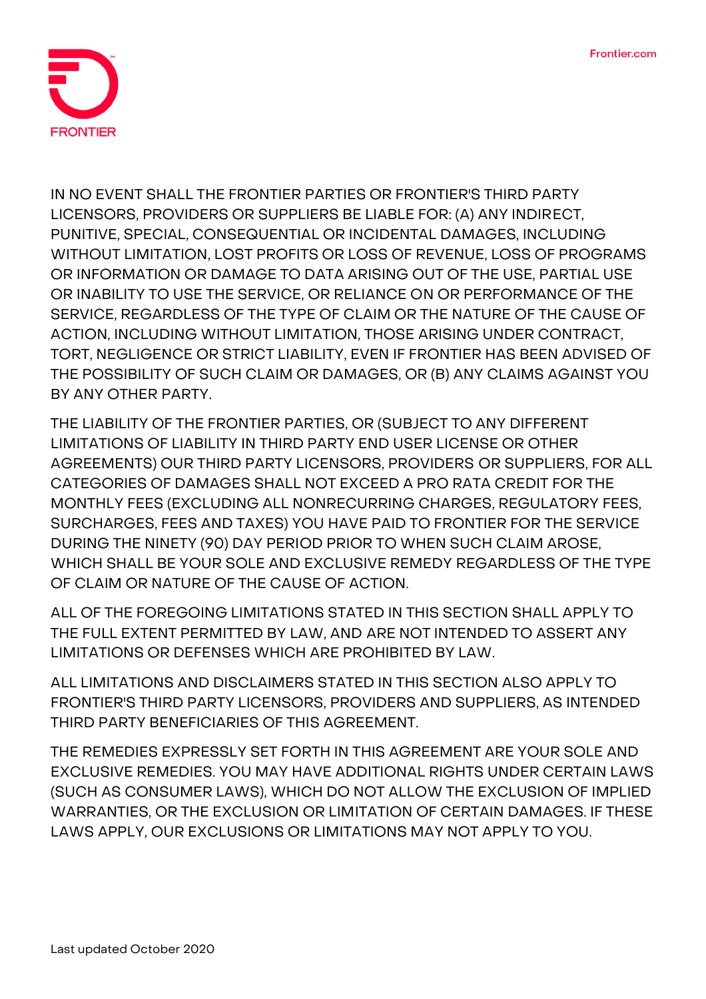

**IN NO EVENT SHALL THE FRONTIER PARTIES OR FRONTIER'S THIRD PARTY LICENSORS, PROVIDERS OR SUPPLIERS BE LIABLE FOR: (A) ANY INDIRECT, PUNITIVE, SPECIAL, CONSEQUENTIAL OR INCIDENTAL DAMAGES, INCLUDING WITHOUT LIMITATION, LOST PROFITS OR LOSS OF REVENUE, LOSS OF PROGRAMS OR INFORMATION OR DAMAGE TO DATA ARISING OUT OF THE USE, PARTIAL USE OR INABILITY TO USE THE SERVICE, OR RELIANCE ON OR PERFORMANCE OF THE SERVICE, REGARDLESS OF THE TYPE OF CLAIM OR THE NATURE OF THE CAUSE OF ACTION, INCLUDING WITHOUT LIMITATION, THOSE ARISING UNDER CONTRACT, TORT, NEGLIGENCE OR STRICT LIABILITY, EVEN IF FRONTIER HAS BEEN ADVISED OF THE POSSIBILITY OF SUCH CLAIM OR DAMAGES, OR (B) ANY CLAIMS AGAINST YOU BY ANY OTHER PARTY.**

**THE LIABILITY OF THE FRONTIER PARTIES, OR (SUBJECT TO ANY DIFFERENT LIMITATIONS OF LIABILITY IN THIRD PARTY END USER LICENSE OR OTHER AGREEMENTS) OUR THIRD PARTY LICENSORS, PROVIDERS OR SUPPLIERS, FOR ALL CATEGORIES OF DAMAGES SHALL NOT EXCEED A PRO RATA CREDIT FOR THE MONTHLY FEES (EXCLUDING ALL NONRECURRING CHARGES, REGULATORY FEES, SURCHARGES, FEES AND TAXES) YOU HAVE PAID TO FRONTIER FOR THE SERVICE DURING THE NINETY (90) DAY PERIOD PRIOR TO WHEN SUCH CLAIM AROSE, WHICH SHALL BE YOUR SOLE AND EXCLUSIVE REMEDY REGARDLESS OF THE TYPE OF CLAIM OR NATURE OF THE CAUSE OF ACTION.**

**ALL OF THE FOREGOING LIMITATIONS STATED IN THIS SECTION SHALL APPLY TO THE FULL EXTENT PERMITTED BY LAW, AND ARE NOT INTENDED TO ASSERT ANY LIMITATIONS OR DEFENSES WHICH ARE PROHIBITED BY LAW.**

**ALL LIMITATIONS AND DISCLAIMERS STATED IN THIS SECTION ALSO APPLY TO FRONTIER'S THIRD PARTY LICENSORS, PROVIDERS AND SUPPLIERS, AS INTENDED THIRD PARTY BENEFICIARIES OF THIS AGREEMENT.**

**THE REMEDIES EXPRESSLY SET FORTH IN THIS AGREEMENT ARE YOUR SOLE AND EXCLUSIVE REMEDIES. YOU MAY HAVE ADDITIONAL RIGHTS UNDER CERTAIN LAWS (SUCH AS CONSUMER LAWS), WHICH DO NOT ALLOW THE EXCLUSION OF IMPLIED WARRANTIES, OR THE EXCLUSION OR LIMITATION OF CERTAIN DAMAGES. IF THESE LAWS APPLY, OUR EXCLUSIONS OR LIMITATIONS MAY NOT APPLY TO YOU.**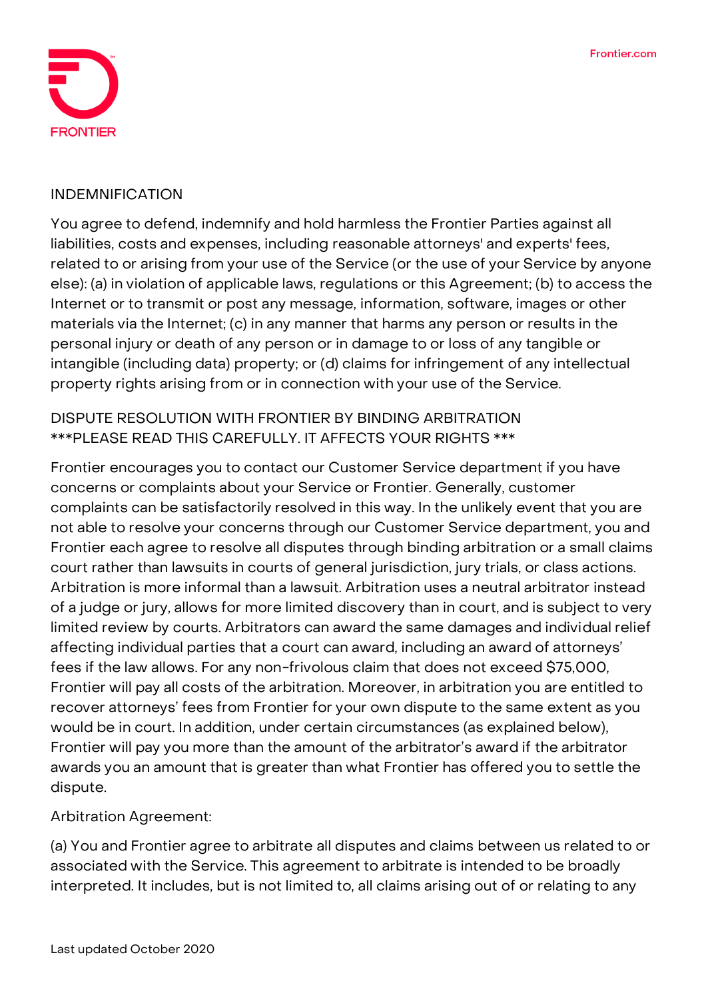

#### **INDEMNIFICATION**

You agree to defend, indemnify and hold harmless the Frontier Parties against all liabilities, costs and expenses, including reasonable attorneys' and experts' fees, related to or arising from your use of the Service (or the use of your Service by anyone else): (a) in violation of applicable laws, regulations or this Agreement; (b) to access the Internet or to transmit or post any message, information, software, images or other materials via the Internet; (c) in any manner that harms any person or results in the personal injury or death of any person or in damage to or loss of any tangible or intangible (including data) property; or (d) claims for infringement of any intellectual property rights arising from or in connection with your use of the Service.

# **DISPUTE RESOLUTION WITH FRONTIER BY BINDING ARBITRATION \*\*\*PLEASE READ THIS CAREFULLY. IT AFFECTS YOUR RIGHTS \*\*\***

Frontier encourages you to contact our Customer Service department if you have concerns or complaints about your Service or Frontier. Generally, customer complaints can be satisfactorily resolved in this way. In the unlikely event that you are not able to resolve your concerns through our Customer Service department, you and Frontier each agree to resolve all disputes through binding arbitration or a small claims court rather than lawsuits in courts of general jurisdiction, jury trials, or class actions. Arbitration is more informal than a lawsuit. Arbitration uses a neutral arbitrator instead of a judge or jury, allows for more limited discovery than in court, and is subject to very limited review by courts. Arbitrators can award the same damages and individual relief affecting individual parties that a court can award, including an award of attorneys' fees if the law allows. For any non-frivolous claim that does not exceed \$75,000, Frontier will pay all costs of the arbitration. Moreover, in arbitration you are entitled to recover attorneys' fees from Frontier for your own dispute to the same extent as you would be in court. In addition, under certain circumstances (as explained below), Frontier will pay you more than the amount of the arbitrator's award if the arbitrator awards you an amount that is greater than what Frontier has offered you to settle the dispute.

### **Arbitration Agreement:**

(a) You and Frontier agree to arbitrate **all disputes and claims** between us related to or associated with the Service. This agreement to arbitrate is intended to be broadly interpreted. It includes, but is not limited to, all claims arising out of or relating to any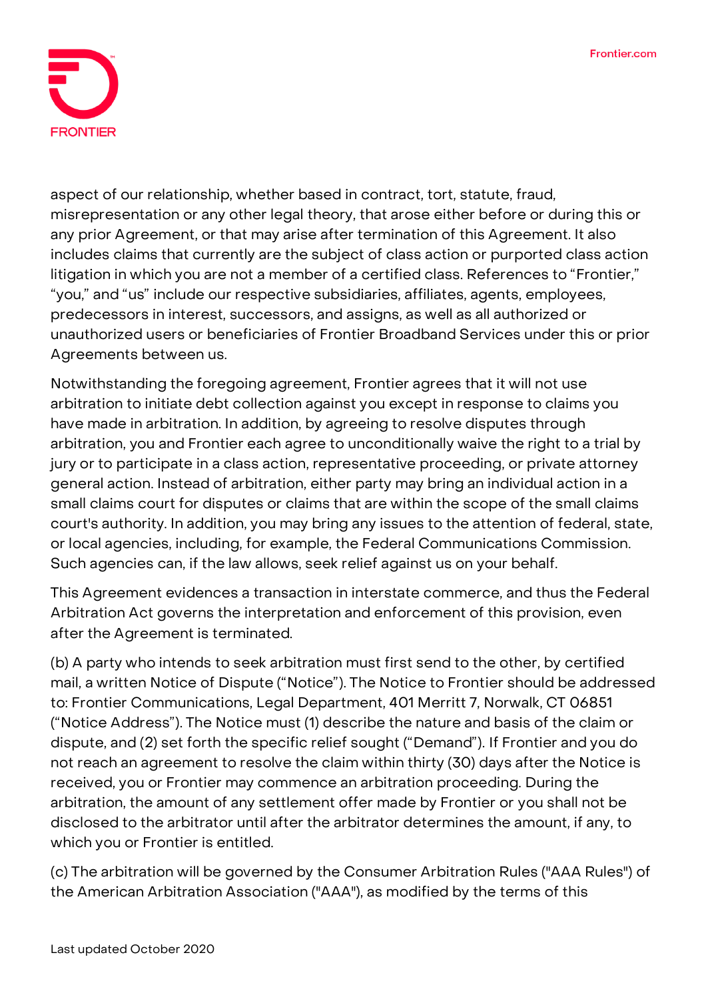

aspect of our relationship, whether based in contract, tort, statute, fraud, misrepresentation or any other legal theory, that arose either before or during this or any prior Agreement, or that may arise after termination of this Agreement. It also includes claims that currently are the subject of class action or purported class action litigation in which you are not a member of a certified class. References to "Frontier," "you," and "us" include our respective subsidiaries, affiliates, agents, employees, predecessors in interest, successors, and assigns, as well as all authorized or unauthorized users or beneficiaries of Frontier Broadband Services under this or prior Agreements between us.

Notwithstanding the foregoing agreement, Frontier agrees that it will not use arbitration to initiate debt collection against you except in response to claims you have made in arbitration. In addition, by agreeing to resolve disputes through arbitration, **you and Frontier each agree to unconditionally waive the right to a trial by jury or to participate in a class action, representative proceeding, or private attorney general action.** Instead of arbitration, either party may bring an individual action in a small claims court for disputes or claims that are within the scope of the small claims court's authority. In addition, you may bring any issues to the attention of federal, state, or local agencies, including, for example, the Federal Communications Commission. Such agencies can, if the law allows, seek relief against us on your behalf.

This Agreement evidences a transaction in interstate commerce, and thus the Federal Arbitration Act governs the interpretation and enforcement of this provision, even after the Agreement is terminated.

(b) A party who intends to seek arbitration must first send to the other, by certified mail, a written Notice of Dispute ("Notice"). The Notice to Frontier should be addressed to: Frontier Communications, Legal Department, 401 Merritt 7, Norwalk, CT 06851 ("Notice Address"). The Notice must (1) describe the nature and basis of the claim or dispute, and (2) set forth the specific relief sought ("Demand"). If Frontier and you do not reach an agreement to resolve the claim within thirty (30) days after the Notice is received, you or Frontier may commence an arbitration proceeding. During the arbitration, the amount of any settlement offer made by Frontier or you shall not be disclosed to the arbitrator until after the arbitrator determines the amount, if any, to which you or Frontier is entitled.

(c) The arbitration will be governed by the Consumer Arbitration Rules ("AAA Rules") of the American Arbitration Association ("AAA"), as modified by the terms of this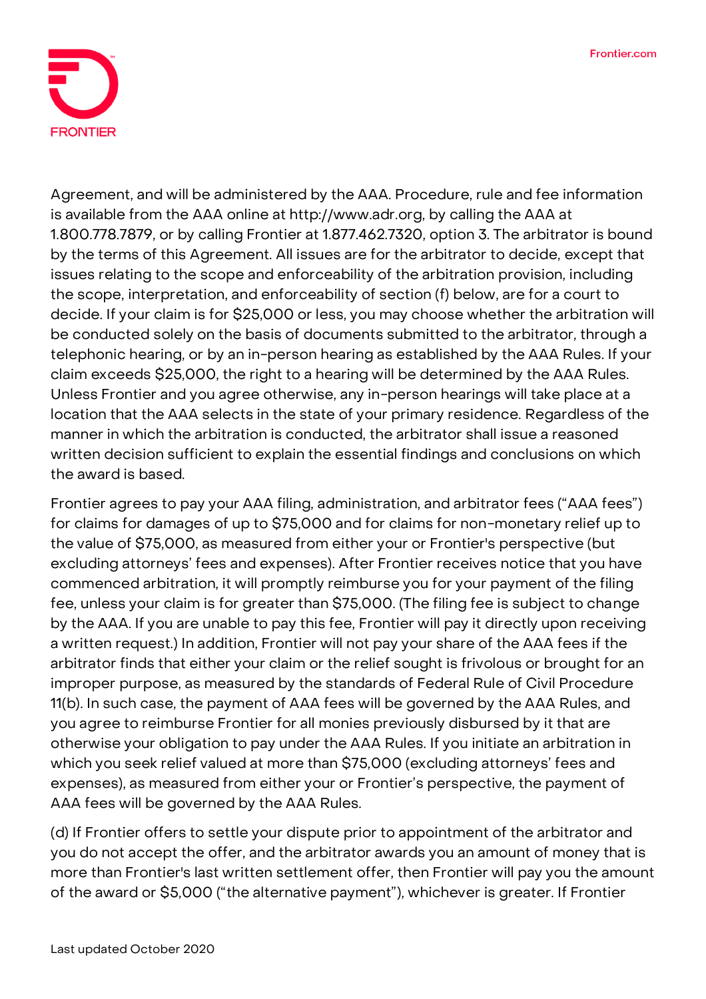

Agreement, and will be administered by the AAA. Procedure, rule and fee information is available from the AAA online at http://www.adr.org, by calling the AAA at 1.800.778.7879, or by calling Frontier at 1.877.462.7320, option 3. The arbitrator is bound by the terms of this Agreement. All issues are for the arbitrator to decide, except that issues relating to the scope and enforceability of the arbitration provision, including the scope, interpretation, and enforceability of section (f) below, are for a court to decide. If your claim is for \$25,000 or less, you may choose whether the arbitration will be conducted solely on the basis of documents submitted to the arbitrator, through a telephonic hearing, or by an in-person hearing as established by the AAA Rules. If your claim exceeds \$25,000, the right to a hearing will be determined by the AAA Rules. Unless Frontier and you agree otherwise, any in-person hearings will take place at a location that the AAA selects in the state of your primary residence. Regardless of the manner in which the arbitration is conducted, the arbitrator shall issue a reasoned written decision sufficient to explain the essential findings and conclusions on which the award is based.

Frontier agrees to pay your AAA filing, administration, and arbitrator fees ("AAA fees") for claims for damages of up to \$75,000 and for claims for non-monetary relief up to the value of \$75,000, as measured from either your or Frontier's perspective (but excluding attorneys' fees and expenses). After Frontier receives notice that you have commenced arbitration, it will promptly reimburse you for your payment of the filing fee, unless your claim is for greater than \$75,000. (The filing fee is subject to change by the AAA. If you are unable to pay this fee, Frontier will pay it directly upon receiving a written request.) In addition, Frontier will not pay your share of the AAA fees if the arbitrator finds that either your claim or the relief sought is frivolous or brought for an improper purpose, as measured by the standards of Federal Rule of Civil Procedure 11(b). In such case, the payment of AAA fees will be governed by the AAA Rules, and you agree to reimburse Frontier for all monies previously disbursed by it that are otherwise your obligation to pay under the AAA Rules. If you initiate an arbitration in which you seek relief valued at more than \$75,000 (excluding attorneys' fees and expenses), as measured from either your or Frontier's perspective, the payment of AAA fees will be governed by the AAA Rules.

(d) If Frontier offers to settle your dispute prior to appointment of the arbitrator and you do not accept the offer, and the arbitrator awards you an amount of money that is more than Frontier's last written settlement offer, then Frontier will pay you the amount of the award or \$5,000 ("the alternative payment"), whichever is greater. If Frontier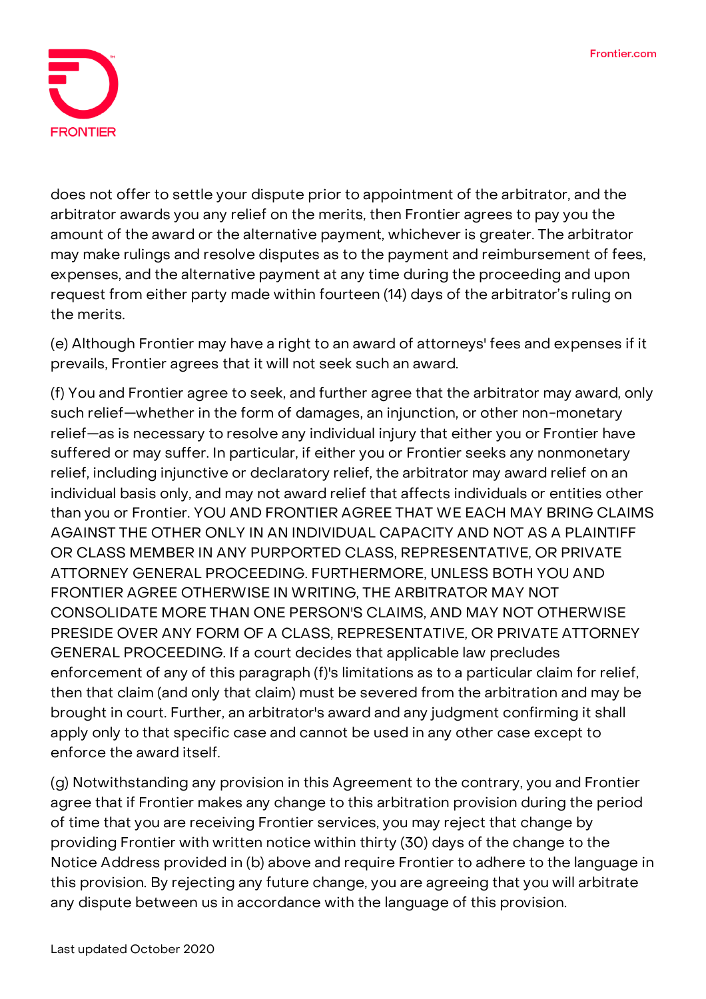

does not offer to settle your dispute prior to appointment of the arbitrator, and the arbitrator awards you any relief on the merits, then Frontier agrees to pay you the amount of the award or the alternative payment, whichever is greater. The arbitrator may make rulings and resolve disputes as to the payment and reimbursement of fees, expenses, and the alternative payment at any time during the proceeding and upon request from either party made within fourteen (14) days of the arbitrator's ruling on the merits.

(e) Although Frontier may have a right to an award of attorneys' fees and expenses if it prevails, Frontier agrees that it will not seek such an award.

(f) You and Frontier agree to seek, and further agree that the arbitrator may award, only such relief—whether in the form of damages, an injunction, or other non-monetary relief—as is necessary to resolve any individual injury that either you or Frontier have suffered or may suffer. In particular, if either you or Frontier seeks any nonmonetary relief, including injunctive or declaratory relief, the arbitrator may award relief on an individual basis only, and may not award relief that affects individuals or entities other than you or Frontier. YOU AND FRONTIER AGREE THAT WE EACH MAY BRING CLAIMS AGAINST THE OTHER ONLY IN AN INDIVIDUAL CAPACITY AND NOT AS A PLAINTIFF OR CLASS MEMBER IN ANY PURPORTED CLASS, REPRESENTATIVE, OR PRIVATE ATTORNEY GENERAL PROCEEDING. FURTHERMORE, UNLESS BOTH YOU AND FRONTIER AGREE OTHERWISE IN WRITING, THE ARBITRATOR MAY NOT CONSOLIDATE MORE THAN ONE PERSON'S CLAIMS, AND MAY NOT OTHERWISE PRESIDE OVER ANY FORM OF A CLASS, REPRESENTATIVE, OR PRIVATE ATTORNEY GENERAL PROCEEDING. If a court decides that applicable law precludes enforcement of any of this paragraph (f)'s limitations as to a particular claim for relief, then that claim (and only that claim) must be severed from the arbitration and may be brought in court. Further, an arbitrator's award and any judgment confirming it shall apply only to that specific case and cannot be used in any other case except to enforce the award itself.

(g) Notwithstanding any provision in this Agreement to the contrary, you and Frontier agree that if Frontier makes any change to this arbitration provision during the period of time that you are receiving Frontier services, you may reject that change by providing Frontier with written notice within thirty (30) days of the change to the Notice Address provided in (b) above and require Frontier to adhere to the language in this provision. By rejecting any future change, you are agreeing that you will arbitrate any dispute between us in accordance with the language of this provision.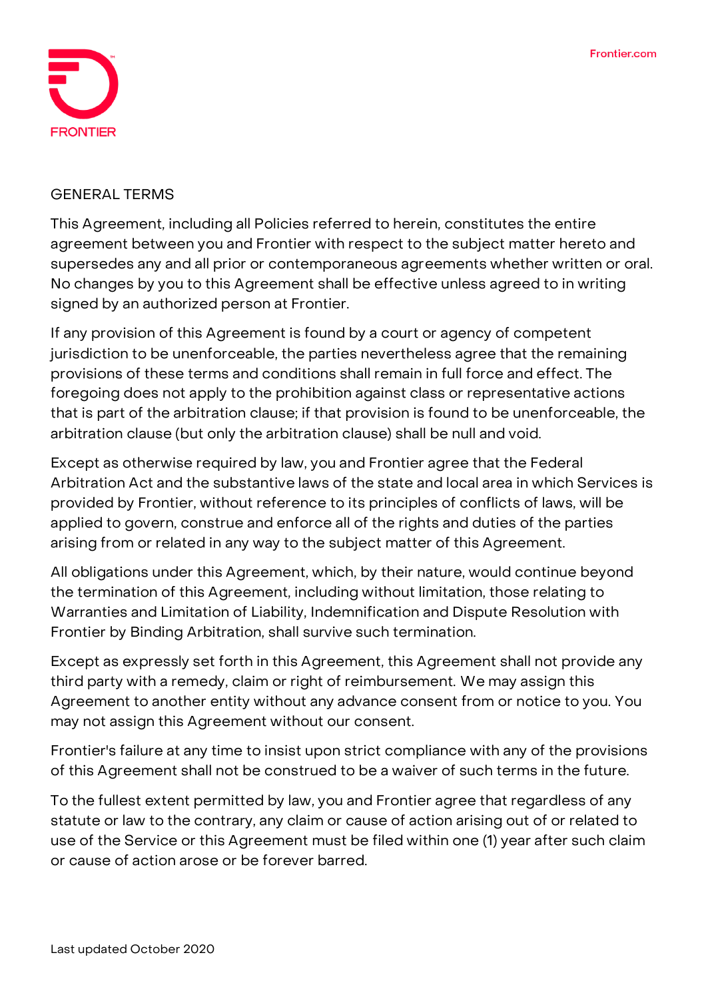

#### **GENERAL TERMS**

This Agreement, including all Policies referred to herein, constitutes the entire agreement between you and Frontier with respect to the subject matter hereto and supersedes any and all prior or contemporaneous agreements whether written or oral. No changes by you to this Agreement shall be effective unless agreed to in writing signed by an authorized person at Frontier.

If any provision of this Agreement is found by a court or agency of competent jurisdiction to be unenforceable, the parties nevertheless agree that the remaining provisions of these terms and conditions shall remain in full force and effect. The foregoing does not apply to the prohibition against class or representative actions that is part of the arbitration clause; if that provision is found to be unenforceable, the arbitration clause (but only the arbitration clause) shall be null and void.

Except as otherwise required by law, you and Frontier agree that the Federal Arbitration Act and the substantive laws of the state and local area in which Services is provided by Frontier, without reference to its principles of conflicts of laws, will be applied to govern, construe and enforce all of the rights and duties of the parties arising from or related in any way to the subject matter of this Agreement.

All obligations under this Agreement, which, by their nature, would continue beyond the termination of this Agreement, including without limitation, those relating to Warranties and Limitation of Liability, Indemnification and Dispute Resolution with Frontier by Binding Arbitration, shall survive such termination.

Except as expressly set forth in this Agreement, this Agreement shall not provide any third party with a remedy, claim or right of reimbursement. We may assign this Agreement to another entity without any advance consent from or notice to you. You may not assign this Agreement without our consent.

Frontier's failure at any time to insist upon strict compliance with any of the provisions of this Agreement shall not be construed to be a waiver of such terms in the future.

To the fullest extent permitted by law, you and Frontier agree that regardless of any statute or law to the contrary, any claim or cause of action arising out of or related to use of the Service or this Agreement must be filed within one (1) year after such claim or cause of action arose or be forever barred.